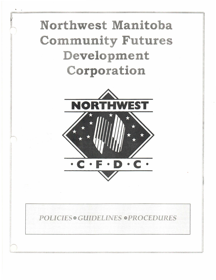## Northwest Manitoba Community Futures Development Corporation



## POLICIES® GUIDELINES ® PROCEDURES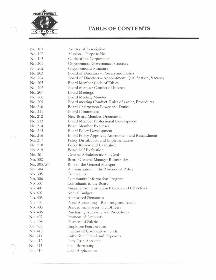

## **TABLE OF CONTENTS**

| No. 101     | Articles of Association                                  |
|-------------|----------------------------------------------------------|
| No. 102     | Mission - Purpose No.                                    |
| No. 103     | Goals of the Corporation                                 |
| No. 201     | Organization, Governance, Structure                      |
| No. 202     | Organizational Structure                                 |
| No. 203     | Board of Directors - Powers and Duties                   |
| No. 204     | Board of Directors - Appointment, Qualification, Vacancy |
| No. 205     | Board Member Code of Ethics                              |
| No. 206     | Board Member Conflict of Interest                        |
| No. 207     | <b>Board Meetings</b>                                    |
| No. 208     | <b>Board Meeting Minutes</b>                             |
| No. 209     | Board meeting Conduct, Rules of Order, Procedures        |
| No. 210     | Board Chairperson Power and Duties                       |
| No. 211     | <b>Board Committees</b>                                  |
| No. 212     | New Board Member Orientation                             |
| No. 213     | Board Member Professional Development                    |
| No. 214     | <b>Board Member Expenses</b>                             |
| No. 215     | Board Policy Development                                 |
| No. 216     | Board Policy Approval, Amendment and Rescindment         |
| No. 217     | Policy Distribution and Implementation                   |
| No. 218     | Policy Review and Evaluation                             |
| No. 219     | Board Self Evaluation                                    |
| No. 301     | General Administration - Goals                           |
| No. 302     | Board/General Manager Relationship                       |
| No. 303/511 | Role of the General Manager                              |
| No. 304     | Administration in the Absence of Policy                  |
| No. 305     | Complaints                                               |
| No. 306     | Community Information Program                            |
| No. 307     | Consultants to the Board                                 |
| No. 401     | Financial Administration 0 Goals and Objectives          |
| No. 402     | Annual Budget                                            |
| No. 403     | <b>Authorized Signatures</b>                             |
| No. 404     | Fiscal Accounting - Reporting and Audits                 |
| No. 405     | Bonded Employees and Officers                            |
| No. 406     | Purchasing Authority and Procedures                      |
| No. 407     | Payment of Accounts                                      |
| No. 408     | Payment of Salaries                                      |
| No. 409     | Employee Pension Plan                                    |
| No. 410     | Deposit of Corporation Funds                             |
| No. 411     | Authorized Travel and Expenses                           |
| No. 412     | Petty Cash Accounts                                      |
| No. 413     | <b>Bank Borrowing</b>                                    |
| No. 414     | Loan Applications                                        |